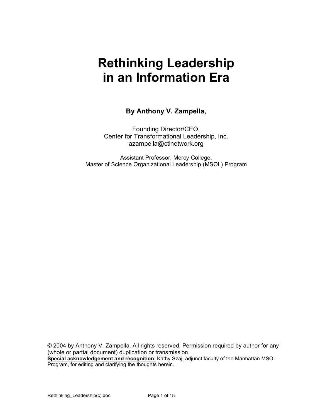# **Rethinking Leadership in an Information Era**

#### **By Anthony V. Zampella,**

Founding Director/CEO, Center for Transformational Leadership, Inc. azampella@ctlnetwork.org

Assistant Professor, Mercy College, Master of Science Organizational Leadership (MSOL) Program

© 2004 by Anthony V. Zampella. All rights reserved. Permission required by author for any (whole or partial document) duplication or transmission. **Special acknowledgement and recognition**: Kathy Szaj, adjunct faculty of the Manhattan MSOL Program, for editing and clarifying the thoughts herein.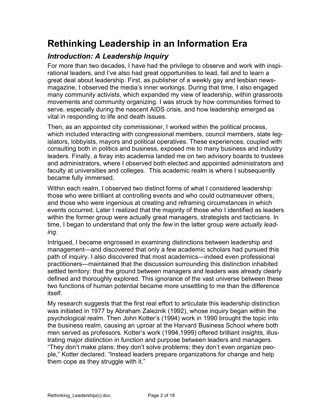# **Rethinking Leadership in an Information Era**

# *Introduction: A Leadership Inquiry*

For more than two decades, I have had the privilege to observe and work with inspirational leaders, and I've also had great opportunities to lead, fail and to learn a great deal about leadership. First, as publisher of a weekly gay and lesbian newsmagazine, I observed the media's inner workings. During that time, I also engaged many community activists, which expanded my view of leadership, within grassroots movements and community organizing. I was struck by how communities formed to serve, especially during the nascent AIDS crisis, and how leadership emerged as vital in responding to life and death issues.

Then, as an appointed city commissioner, I worked within the political process, which included interacting with congressional members, council members, state legislators, lobbyists, mayors and political operatives. These experiences, coupled with consulting both in politics and business, exposed me to many business and industry leaders. Finally, a foray into academia landed me on two advisory boards to trustees and administrators, where I observed both elected and appointed administrators and faculty at universities and colleges. This academic realm is where I subsequently became fully immersed.

Within each realm, I observed two distinct forms of what I considered leadership: those who were brilliant at controlling events and who could outmaneuver others, and those who were ingenious at creating and reframing circumstances in which events occurred. Later I realized that the majority of those who I identified as leaders within the former group were actually great managers, strategists and tacticians. In time, I began to understand that only the *few* in the latter group *were actually leading*.

Intrigued, I became engrossed in examining distinctions between leadership and management—and discovered that only a few academic scholars had pursued this path of inquiry. I also discovered that most academics—indeed even professional practitioners—maintained that the discussion surrounding this distinction inhabited settled territory: that the ground between managers and leaders was already clearly defined and thoroughly explored. This ignorance of the vast universe between these two functions of human potential became more unsettling to me than the difference itself.

My research suggests that the first real effort to articulate this leadership distinction was initiated in 1977 by Abraham Zaleznik (1992), whose inquiry began within the psychological realm. Then John Kotter's (1994) work in 1990 brought the topic into the business realm, causing an uproar at the Harvard Business School where both men served as professors. Kotter's work (1994,1999) offered brilliant insights, illustrating major distinction in function and purpose between leaders and managers. "They don't make plans; they don't solve problems; they don't even organize people," Kotter declared. "Instead leaders prepare organizations for change and help them cope as they struggle with it."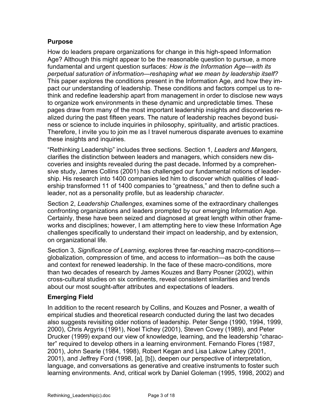#### **Purpose**

How do leaders prepare organizations for change in this high-speed Information Age? Although this might appear to be the reasonable question to pursue, a more fundamental and urgent question surfaces: *How is the Information Age—with its perpetual saturation of information—reshaping what we mean by leadership itself?* This paper explores the conditions present in the Information Age, and how they impact our understanding of leadership. These conditions and factors compel us to rethink and redefine leadership apart from management in order to disclose new ways to organize work environments in these dynamic and unpredictable times. These pages draw from many of the most important leadership insights and discoveries realized during the past fifteen years. The nature of leadership reaches beyond business or science to include inquiries in philosophy, spirituality, and artistic practices. Therefore, I invite you to join me as I travel numerous disparate avenues to examine these insights and inquiries.

"Rethinking Leadership" includes three sections. Section 1, *Leaders and Mangers,* clarifies the distinction between leaders and managers, which considers new discoveries and insights revealed during the past decade**.** Informed by a comprehensive study, James Collins (2001) has challenged our fundamental notions of leadership. His research into 1400 companies led him to discover which qualities of leadership transformed 11 of 1400 companies to "greatness," and then to define such a leader, not as a personality profile, but as leadership *character*.

Section 2, *Leadership Challenges*, examines some of the extraordinary challenges confronting organizations and leaders prompted by our emerging Information Age. Certainly, these have been seized and diagnosed at great length within other frameworks and disciplines; however, I am attempting here to view these Information Age challenges specifically to understand their impact on leadership, and by extension, on organizational life.

Section 3, *Significance of Learning*, explores three far-reaching macro-conditions globalization, compression of time, and access to information—as both the cause and context for renewed leadership. In the face of these macro-conditions, more than two decades of research by James Kouzes and Barry Posner (2002), within cross-cultural studies on six continents, reveal consistent similarities and trends about our most sought-after attributes and expectations of leaders.

#### **Emerging Field**

In addition to the recent research by Collins, and Kouzes and Posner, a wealth of empirical studies and theoretical research conducted during the last two decades also suggests revisiting older notions of leadership. Peter Senge (1990, 1994, 1999, 2000), Chris Argyris (1991), Noel Tichey (2001), Steven Covey (1989), and Peter Drucker (1999) expand our view of knowledge, learning, and the leadership "character" required to develop others in a learning environment. Fernando Flores (1987, 2001), John Searle (1984, 1998), Robert Kegan and Lisa Lakow Lahey (2001, 2001), and Jeffrey Ford (1998, [a], [b]), deepen our perspective of interpretation, language, and conversations as generative and creative instruments to foster such learning environments. And, critical work by Daniel Goleman (1995, 1998, 2002) and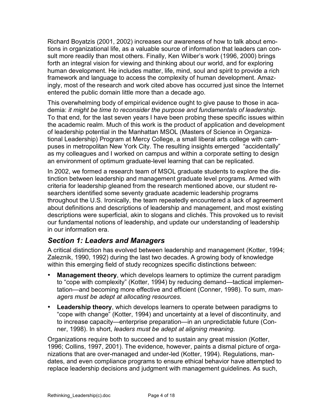Richard Boyatzis (2001, 2002) increases our awareness of how to talk about emotions in organizational life, as a valuable source of information that leaders can consult more readily than most others. Finally, Ken Wilber's work (1996, 2000) brings forth an integral vision for viewing and thinking about our world, and for exploring human development. He includes matter, life, mind, soul and spirit to provide a rich framework and language to access the complexity of human development. Amazingly, most of the research and work cited above has occurred just since the Internet entered the public domain little more than a decade ago.

This overwhelming body of empirical evidence ought to give pause to those in academia: *it might be time to reconsider the purpose and fundamentals of leadership*. To that end, for the last seven years I have been probing these specific issues within the academic realm. Much of this work is the product of application and development of leadership potential in the Manhattan MSOL (Masters of Science in Organizational Leadership) Program at Mercy College, a small liberal arts college with campuses in metropolitan New York City. The resulting insights emerged "accidentally" as my colleagues and I worked on campus and within a corporate setting to design an environment of optimum graduate-level learning that can be replicated.

In 2002, we formed a research team of MSOL graduate students to explore the distinction between leadership and management graduate level programs. Armed with criteria for leadership gleaned from the research mentioned above, our student researchers identified some seventy graduate academic leadership programs throughout the U.S. Ironically, the team repeatedly encountered a lack of agreement about definitions and descriptions of leadership and management, and most existing descriptions were superficial, akin to slogans and clichés. This provoked us to revisit our fundamental notions of leadership, and update our understanding of leadership in our information era.

## *Section 1: Leaders and Managers*

A critical distinction has evolved between leadership and management (Kotter, 1994; Zaleznik, 1990, 1992) during the last two decades. A growing body of knowledge within this emerging field of study recognizes specific distinctions between:

- **Management theory**, which develops learners to optimize the current paradigm to "cope with complexity" (Kotter, 1994) by reducing demand—tactical implementation—and becoming more effective and efficient (Conner, 1998). To sum, *managers must be adept at allocating resources.*
- **Leadership theory**, which develops learners to operate between paradigms to "cope with change" (Kotter, 1994) and uncertainty at a level of discontinuity, and to increase capacity—enterprise preparation—in an unpredictable future (Conner, 1998). In short, *leaders must be adept at aligning meaning.*

Organizations require both to succeed and to sustain any great mission (Kotter, 1996; Collins, 1997, 2001). The evidence, however, paints a dismal picture of organizations that are over-managed and under-led (Kotter, 1994). Regulations, mandates, and even compliance programs to ensure ethical behavior have attempted to replace leadership decisions and judgment with management guidelines. As such,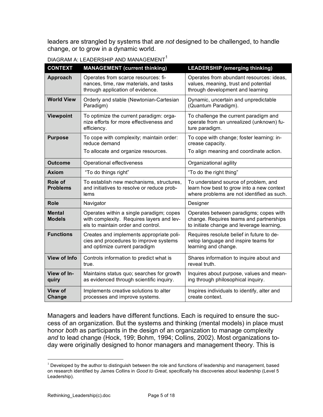leaders are strangled by systems that are *not* designed to be challenged, to handle change, or to grow in a dynamic world.

| <b>CONTEXT</b>                 | <b>MANAGEMENT</b> (current thinking)                                                                                        | <b>LEADERSHIP (emerging thinking)</b>                                                                                           |  |
|--------------------------------|-----------------------------------------------------------------------------------------------------------------------------|---------------------------------------------------------------------------------------------------------------------------------|--|
| Approach                       | Operates from scarce resources: fi-<br>nances, time, raw materials, and tasks<br>through application of evidence.           | Operates from abundant resources: ideas,<br>values, meaning, trust and potential<br>through development and learning            |  |
| <b>World View</b>              | Orderly and stable (Newtonian-Cartesian<br>Paradigm)                                                                        | Dynamic, uncertain and unpredictable<br>(Quantum Paradigm).                                                                     |  |
| Viewpoint                      | To optimize the current paradigm: orga-<br>nize efforts for more effectiveness and<br>efficiency.                           | To challenge the current paradigm and<br>operate from an unrealized (unknown) fu-<br>ture paradigm.                             |  |
| <b>Purpose</b>                 | To cope with complexity; maintain order:<br>reduce demand<br>To allocate and organize resources.                            | To cope with change; foster learning: in-<br>crease capacity.<br>To align meaning and coordinate action.                        |  |
| <b>Outcome</b>                 | Operational effectiveness                                                                                                   | Organizational agility                                                                                                          |  |
| <b>Axiom</b>                   | "To do things right"                                                                                                        | "To do the right thing"                                                                                                         |  |
| Role of<br><b>Problems</b>     | To establish new mechanisms, structures,<br>and initiatives to resolve or reduce prob-<br>lems                              | To understand source of problem, and<br>learn how best to grow into a new context<br>where problems are not identified as such. |  |
| <b>Role</b>                    | Navigator                                                                                                                   | Designer                                                                                                                        |  |
| <b>Mental</b><br><b>Models</b> | Operates within a single paradigm; copes<br>with complexity. Requires layers and lev-<br>els to maintain order and control. | Operates between paradigms; copes with<br>change. Requires teams and partnerships<br>to initiate change and leverage learning.  |  |
| <b>Functions</b>               | Creates and implements appropriate poli-<br>cies and procedures to improve systems<br>and optimize current paradigm         | Requires resolute belief in future to de-<br>velop language and inspire teams for<br>learning and change.                       |  |
| <b>View of Info</b>            | Controls information to predict what is<br>true.                                                                            | Shares information to inquire about and<br>reveal truth.                                                                        |  |
| View of In-<br>quiry           | Maintains status quo; searches for growth<br>as evidenced through scientific inquiry.                                       | Inquires about purpose, values and mean-<br>ing through philosophical inquiry.                                                  |  |
| <b>View of</b><br>Change       | Implements creative solutions to alter<br>processes and improve systems.                                                    | Inspires individuals to identify, alter and<br>create context.                                                                  |  |

DIAGRAM A: LEADERSHIP AND MANAGEMENT<sup>1</sup>

Managers and leaders have different functions. Each is required to ensure the success of an organization. But the systems and thinking (mental models) in place must honor *both* as participants in the design of an organization to manage complexity *and* to lead change (Hock, 199; Bohm, 1994; Collins, 2002). Most organizations today were originally designed to honor managers and management theory. This is

 $1$  Developed by the author to distinguish between the role and functions of leadership and management, based on research identified by James Collins in *Good to Great*, specifically his discoveries about leadership (Level 5 Leadership).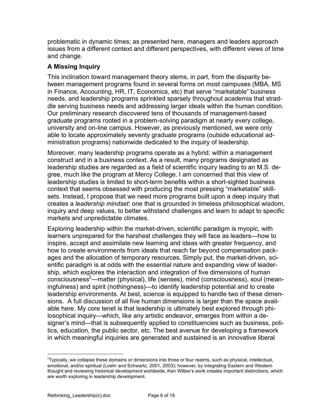problematic in dynamic times; as presented here, managers and leaders approach issues from a different context and different perspectives, with different views of time and change.

#### **A Missing Inquiry**

This inclination toward management theory stems, in part, from the disparity between management programs found in several forms on most campuses (MBA, MS in Finance, Accounting, HR, IT, Economics, etc) that serve "marketable" business needs, and leadership programs sprinkled sparsely throughout academia that straddle serving business needs and addressing larger ideals within the human condition. Our preliminary research discovered tens of thousands of management-based graduate programs rooted in a problem-solving paradigm at nearly every college, university and on-line campus. However, as previously mentioned, we were only able to locate approximately seventy graduate programs (outside educational administration programs) nationwide dedicated to the inquiry of leadership.

Moreover, many leadership programs operate as a hybrid: within a management construct and in a business context. As a result, many programs designated as leadership studies are regarded as a field of scientific inquiry leading to an M.S. degree, much like the program at Mercy College. I am concerned that this view of leadership studies is limited to short-term benefits within a short-sighted business context that seems obsessed with producing the most pressing "marketable" skillsets. Instead, I propose that we need more programs built upon a deep inquiry that creates a *leadership mindset*: one that is grounded in timeless philosophical wisdom, inquiry and deep values, to better withstand challenges and learn to adapt to specific markets and unpredictable climates.

Exploring leadership within the market-driven, scientific paradigm is myopic, with learners unprepared for the harshest challenges they will face as leaders—how to inspire, accept and assimilate new learning and ideas with greater frequency, and how to create environments from ideals that reach far beyond compensation packages and the allocation of temporary resources. Simply put, the market-driven, scientific paradigm is at odds with the essential nature and expanding view of leadership, which explores the interaction and integration of five dimensions of human consciousness<sup>2</sup>—matter (physical), life (senses), mind (consciousness), soul (meaningfulness) and spirit (nothingness)—to identify leadership potential and to create leadership environments. At best, science is equipped to handle two of these dimensions. A full discussion of all five human dimensions is larger than the space available here. My core tenet is that leadership is ultimately best explored through philosophical inquiry—which, like any artistic endeavor, emerges from within a designer's mind—that is subsequently applied to constituencies such as business, politics, education, the public sector, etc. The best avenue for developing a framework in which meaningful inquiries are generated and sustained is an innovative liberal

 $\frac{1}{2}$ <sup>2</sup>Typically, we collapse these domains or dimensions into three or four realms, such as physical, intellectual, emotional, and/or spiritual (Loehr and Schwartz, 2001, 2003); however, by integrating Eastern and Western thought and reviewing historical development worldwide, Ken Wilber's work creates important distinctions, which are worth exploring in leadership development.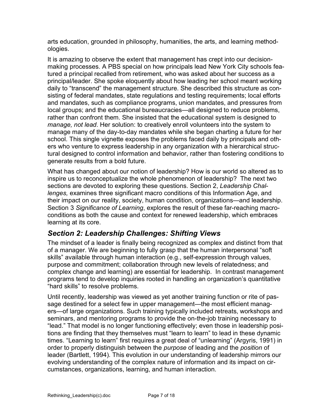arts education, grounded in philosophy, humanities, the arts, and learning methodologies.

It is amazing to observe the extent that management has crept into our decisionmaking processes. A PBS special on how principals lead New York City schools featured a principal recalled from retirement, who was asked about her success as a principal/leader. She spoke eloquently about how leading her school meant working daily to "transcend" the management structure. She described this structure as consisting of federal mandates, state regulations and testing requirements; local efforts and mandates, such as compliance programs, union mandates, and pressures from local groups; and the educational bureaucracies—all designed to reduce problems, rather than confront them. She insisted that the educational system is designed to *manage, not lead*. Her solution: to creatively enroll volunteers into the system to manage many of the day-to-day mandates while she began charting a future for her school. This single vignette exposes the problems faced daily by principals and others who venture to express leadership in any organization with a hierarchical structural designed to control information and behavior, rather than fostering conditions to generate results from a bold future.

What has changed about our notion of leadership? How is our world so altered as to inspire us to reconceptualize the whole phenomenon of leadership? The next two sections are devoted to exploring these questions. Section 2, *Leadership Challenges,* examines three significant macro conditions of this Information Age, and their impact on our reality, society, human condition, organizations—and leadership. Section 3 *Significance of Learning*, explores the result of these far-reaching macroconditions as both the cause and context for renewed leadership, which embraces learning at its core.

## *Section 2: Leadership Challenges: Shifting Views*

The mindset of a leader is finally being recognized as complex and distinct from that of a manager. We are beginning to fully grasp that the human interpersonal "soft skills" available through human interaction (e.g., self-expression through values, purpose and commitment; collaboration through new levels of relatedness; and complex change and learning) are essential for leadership. In contrast management programs tend to develop inquiries rooted in handling an organization's quantitative "hard skills" to resolve problems.

Until recently, leadership was viewed as yet another training function or rite of passage destined for a select few in upper management—the most efficient managers—of large organizations. Such training typically included retreats, workshops and seminars, and mentoring programs to provide the on-the-job training necessary to "lead." That model is no longer functioning effectively; even those in leadership positions are finding that they themselves must "learn to learn" to lead in these dynamic times. "Learning to learn" first requires a great deal of "unlearning" (Argyris, 1991) in order to properly distinguish between the *purpose* of leading and the *position* of leader (Bartlett, 1994). This evolution in our understanding of leadership mirrors our evolving understanding of the complex nature of information and its impact on circumstances, organizations, learning, and human interaction.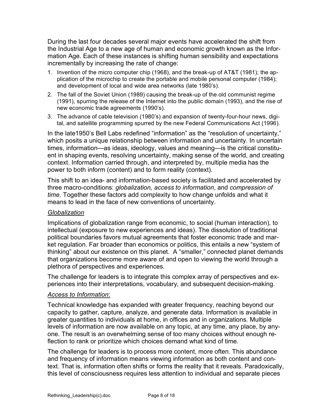During the last four decades several major events have accelerated the shift from the Industrial Age to a new age of human and economic growth known as the Information Age. Each of these instances is shifting human sensibility and expectations incrementally by increasing the rate of change:

- 1. Invention of the micro computer chip (1968), and the break-up of AT&T (1981); the application of the microchip to create the portable and mobile personal computer (1984); and development of local and wide area networks (late 1980's).
- 2. The fall of the Soviet Union (1989) causing the break-up of the old communist regime (1991), spurring the release of the Internet into the public domain (1993), and the rise of new economic trade agreements (1990's).
- 3. The advance of cable television (1980's) and expansion of twenty-four-hour news, digital, and satellite programming spurred by the new Federal Communications Act (1996).

In the late1950's Bell Labs redefined "information" as the "resolution of uncertainty," which posits a unique relationship between information and uncertainty. In uncertain times, information—as ideas, ideology, values and meaning—is the critical constituent in shaping events, resolving uncertainty, making sense of the world, and creating context. Information carried through, and interpreted by, multiple media has the power to both inform (content) and to form reality (context).

This shift to an idea- and information-based society is facilitated and accelerated by three macro-conditions: *globalization, access to information*, and *compression of time*. Together these factors add complexity to how change unfolds and what it means to lead in the face of new conventions of uncertainty.

#### *Globalization*

Implications of globalization range from economic, to social (human interaction), to intellectual (exposure to new experiences and ideas). The dissolution of traditional political boundaries favors mutual agreements that foster economic trade and market regulation. Far broader than economics or politics, this entails a new "system of thinking" about our existence on this planet. A "smaller," connected planet demands that organizations become more aware of and open to viewing the world through a plethora of perspectives and experiences.

The challenge for leaders is to integrate this complex array of perspectives and experiences into their interpretations, vocabulary, and subsequent decision-making.

#### *Access to Information*:

Technical knowledge has expanded with greater frequency, reaching beyond our capacity to gather, capture, analyze, and generate data. Information is available in greater quantities to individuals at home, in offices and in organizations. Multiple levels of information are now available on any topic, at any time, any place, by anyone. The result is an overwhelming sense of too many choices without enough reflection to rank or prioritize which choices demand what kind of time.

The challenge for leaders is to process more content, more often. This abundance and frequency of information means viewing information as both content and context. That is, information often shifts or forms the reality that it reveals. Paradoxically, this level of consciousness requires less attention to individual and separate pieces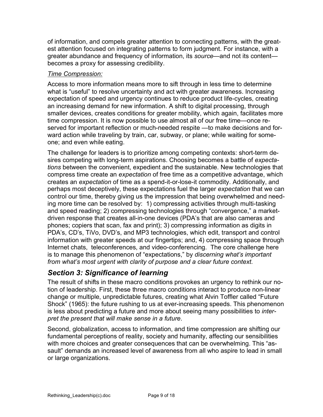of information, and compels greater attention to connecting patterns, with the greatest attention focused on integrating patterns to form judgment. For instance, with a greater abundance and frequency of information, its *source*—and not its content becomes a proxy for assessing credibility.

#### *Time Compression:*

Access to more information means more to sift through in less time to determine what is "useful" to resolve uncertainty and act with greater awareness. Increasing expectation of speed and urgency continues to reduce product life-cycles, creating an increasing demand for new information. A shift to digital processing, through smaller devices, creates conditions for greater mobility, which again, facilitates more time compression. It is now possible to use almost all of our free time—once reserved for important reflection or much-needed respite —to make decisions and forward action while traveling by train, car, subway, or plane; while waiting for someone; and even while eating.

The challenge for leaders is to prioritize among competing contexts: short-term desires competing with long-term aspirations. Choosing becomes a battle of *expectations* between the convenient, expedient and the sustainable. New technologies that compress time create an *expectation* of free time as a competitive advantage, which creates an *expectation* of time as a spend-it-or-lose-it commodity. Additionally, and perhaps most deceptively, these expectations fuel the larger *expectation* that we can control our time, thereby giving us the impression that being overwhelmed and needing more time can be resolved by: 1) compressing activities through multi-tasking and speed reading; 2) compressing technologies through "convergence," a marketdriven response that creates all-in-one devices (PDA's that are also cameras and phones; copiers that scan, fax and print); 3) compressing information as digits in PDA's, CD's, TiVo, DVD's, and MP3 technologies, which edit, transport and control information with greater speeds at our fingertips; and, 4) compressing space through Internet chats, teleconferences, and video-conferencing. The core challenge here is to manage this phenomenon of "expectations," by *discerning what's important from what's most urgent with clarity of purpose and a clear future context.*

# *Section 3: Significance of learning*

The result of shifts in these macro conditions provokes an urgency to rethink our notion of leadership. First, these three macro conditions interact to produce non-linear change or multiple, unpredictable futures, creating what Alvin Toffler called "Future Shock" (1965): the future rushing to us at ever-increasing speeds. This phenomenon is less about predicting a future and more about seeing many possibilities to *interpret the present that will make sense in a future*.

Second, globalization, access to information, and time compression are shifting our fundamental perceptions of reality, society and humanity, affecting our sensibilities with more choices and greater consequences that can be overwhelming. This "assault" demands an increased level of awareness from all who aspire to lead in small or large organizations.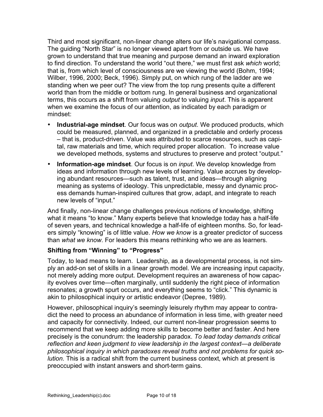Third and most significant, non-linear change alters our life's navigational compass. The guiding "North Star" is no longer viewed apart from or outside us. We have grown to understand that true meaning and purpose demand an inward exploration to find direction. To understand the world "out there," we must first ask *which* world; that is, from which level of consciousness are we viewing the world (Bohm, 1994; Wilber, 1996, 2000; Beck, 1996). Simply put, on which rung of the ladder are we standing when we peer out? The view from the top rung presents quite a different world than from the middle or bottom rung. In general business and organizational terms, this occurs as a shift from valuing *output* to valuing *input*. This is apparent when we examine the focus of our attention, as indicated by each paradigm or mindset:

- **Industrial-age mindset**. Our focus was on *output*. We produced products, which could be measured, planned, and organized in a predictable and orderly process – that is, product-driven. Value was attributed to scarce resources, such as capital, raw materials and time, which required proper allocation. To increase value we developed methods, systems and structures to preserve and protect "output."
- **Information-age mindset**. Our focus is on *input*. We develop knowledge from ideas and information through new levels of learning. Value accrues by developing abundant resources—such as talent, trust, and ideas—through aligning meaning as systems of ideology. This unpredictable, messy and dynamic process demands human-inspired cultures that grow, adapt, and integrate to reach new levels of "input."

And finally, non-linear change challenges previous notions of knowledge, shifting what it means "to know." Many experts believe that knowledge today has a half-life of seven years, and technical knowledge a half-life of eighteen months. So, for leaders simply "knowing" is of little value. *How we know* is a greater predictor of success than *what we know*. For leaders this means rethinking who we are as learners.

#### **Shifting from "Winning" to "Progress"**

Today, to lead means to learn. Leadership, as a developmental process, is not simply an add-on set of skills in a linear growth model. We are increasing input capacity, not merely adding more output. Development requires an awareness of how capacity evolves over time—often marginally, until suddenly the right piece of information resonates; a growth spurt occurs, and everything seems to "click." This dynamic is akin to philosophical inquiry or artistic endeavor (Depree, 1989).

However, philosophical inquiry's seemingly leisurely rhythm may appear to contradict the need to process an abundance of information in less time, with greater need and capacity for connectivity. Indeed, our current non-linear progression seems to recommend that we keep adding more skills to become better and faster. And here precisely is the conundrum: the leadership paradox. *To lead today demands critical reflection and keen judgment to view leadership in the largest context—a deliberate philosophical inquiry in which paradoxes reveal truths and not problems for quick solution.* This is a radical shift from the current business context, which at present is preoccupied with instant answers and short-term gains.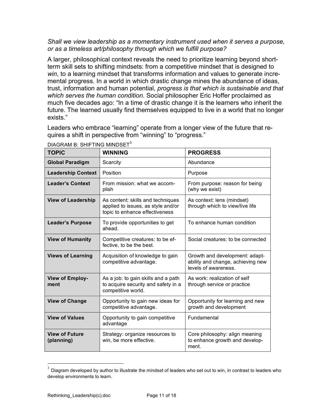#### *Shall we view leadership as a momentary instrument used when it serves a purpose, or as a timeless art/philosophy through which we fulfill purpose?*

A larger, philosophical context reveals the need to prioritize learning beyond shortterm skill sets to shifting mindsets: from a competitive mindset that is designed to *win*, to a learning mindset that transforms information and values to generate incremental progress. In a world in which drastic change mines the abundance of ideas, trust, information and human potential, *progress is that which is sustainable and that which serves the human condition.* Social philosopher Eric Hoffer proclaimed as much five decades ago: "In a time of drastic change it is the learners who inherit the future. The learned usually find themselves equipped to live in a world that no longer exists."

Leaders who embrace "learning" operate from a longer view of the future that requires a shift in perspective from "winning" to "progress."

| <b>TOPIC</b>                        | <b>WINNING</b>                                                                                            | <b>PROGRESS</b>                                                                             |  |
|-------------------------------------|-----------------------------------------------------------------------------------------------------------|---------------------------------------------------------------------------------------------|--|
| <b>Global Paradigm</b>              | Scarcity                                                                                                  | Abundance                                                                                   |  |
| <b>Leadership Context</b>           | Position                                                                                                  | Purpose                                                                                     |  |
| <b>Leader's Context</b>             | From mission: what we accom-<br>plish                                                                     | From purpose: reason for being<br>(why we exist)                                            |  |
| <b>View of Leadership</b>           | As content: skills and techniques<br>applied to issues, as style and/or<br>topic to enhance effectiveness | As context: lens (mindset)<br>through which to view/live life                               |  |
| <b>Leader's Purpose</b>             | To provide opportunities to get<br>ahead.                                                                 | To enhance human condition                                                                  |  |
| <b>View of Humanity</b>             | Competitive creatures: to be ef-<br>fective, to be the best.                                              | Social creatures: to be connected                                                           |  |
| <b>Views of Learning</b>            | Acquisition of knowledge to gain<br>competitive advantage.                                                | Growth and development: adapt-<br>ability and change, achieving new<br>levels of awareness. |  |
| <b>View of Employ-</b><br>ment      | As a job: to gain skills and a path<br>to acquire security and safety in a<br>competitive world.          | As work: realization of self<br>through service or practice                                 |  |
| <b>View of Change</b>               | Opportunity to gain new ideas for<br>competitive advantage.                                               | Opportunity for learning and new<br>growth and development                                  |  |
| <b>View of Values</b>               | Opportunity to gain competitive<br>advantage                                                              | <b>Fundamental</b>                                                                          |  |
| <b>View of Future</b><br>(planning) | Strategy: organize resources to<br>win, be more effective.                                                | Core philosophy: align meaning<br>to enhance growth and develop-<br>ment.                   |  |

DIAGRAM B: SHIFTING MINDSET<sup>3</sup>

 $3$  Diagram developed by author to illustrate the mindset of leaders who set out to win, in contrast to leaders who develop environments to learn.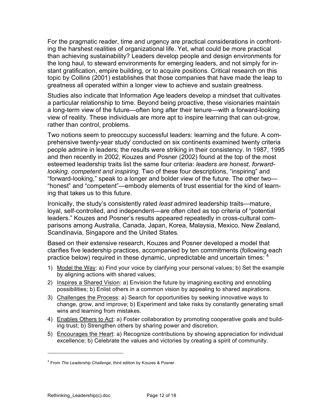For the pragmatic reader, time and urgency are practical considerations in confronting the harshest realities of organizational life. Yet, what could be more practical than achieving sustainability? Leaders develop people and design environments for the long haul, to steward environments for emerging leaders, and not simply for instant gratification, empire building, or to acquire positions. Critical research on this topic by Collins (2001) establishes that those companies that have made the leap to greatness all operated within a longer view to achieve and sustain greatness.

Studies also indicate that Information Age leaders develop a mindset that cultivates a particular relationship to time. Beyond being proactive, these visionaries maintain a long-term view of the future—often long after their tenure—with a forward-looking view of reality. These individuals are more apt to inspire learning that can out-grow, rather than control, problems.

Two notions seem to preoccupy successful leaders: learning and the future. A comprehensive twenty-year study conducted on six continents examined twenty criteria people admire in leaders; the results were striking in their consistency. In 1987, 1995 and then recently in 2002, Kouzes and Posner (2002) found at the top of the most esteemed leadership traits list the same four criteria: *leaders are honest, forwardlooking, competent and inspiring.* Two of these four descriptions, "inspiring" and "forward-looking," speak to a longer and bolder view of the future. The other two— "honest" and "competent"—embody elements of trust essential for the kind of learning that takes us to this future.

Ironically, the study's consistently rated *least* admired leadership traits—mature, loyal, self-controlled, and independent—are often cited as top criteria of "potential leaders." Kouzes and Posner's results appeared repeatedly in cross-cultural comparisons among Australia, Canada, Japan, Korea, Malaysia, Mexico, New Zealand, Scandinavia, Singapore and the United States.

Based on their extensive research, Kouzes and Posner developed a model that clarifies five leadership practices, accompanied by ten commitments (following each practice below) required in these dynamic, unpredictable and uncertain times:  $4\overline{ }$ 

- 1) Model the Way: a) Find your voice by clarifying your personal values; b) Set the example by aligning actions with shared values;
- 2) Inspires a Shared Vision: a) Envision the future by imagining exciting and ennobling possibilities; b) Enlist others in a common vision by appealing to shared aspirations.
- 3) Challenges the Process: a) Search for opportunities by seeking innovative ways to change, grow, and improve; b) Experiment and take risks by constantly generating small wins and learning from mistakes.
- 4) Enables Others to Act: a) Foster collaboration by promoting cooperative goals and building trust; b) Strengthen others by sharing power and discretion.
- 5) Encourages the Heart: a) Recognize contributions by showing appreciation for individual excellence; b) Celebrate the values and victories by creating a spirit of community.

 $\overline{a}$ 

<sup>4</sup> From *The Leadership Challenge*, third edition by Kouzes & Posner.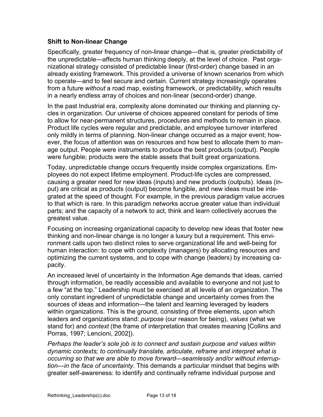#### **Shift to Non-linear Change**

Specifically, greater frequency of non-linear change—that is, greater predictability of the unpredictable—affects human thinking deeply, at the level of choice. Past organizational strategy consisted of predictable linear (first-order) change based in an already existing framework. This provided a universe of known scenarios from which to operate—and to feel secure and certain. Current strategy increasingly operates from a future *without* a road map, existing framework, or predictability, which results in a nearly endless array of choices and non-linear (second-order) change.

In the past Industrial era, complexity alone dominated our thinking and planning cycles in organization. Our universe of choices appeared constant for periods of time to allow for near-permanent structures, procedures and methods to remain in place. Product life cycles were regular and predictable, and employee turnover interfered only mildly in terms of planning. Non-linear change occurred as a major event; however, the focus of attention was on resources and how best to allocate them to manage output. People were instruments to produce the best products (output). People were fungible; products were the stable assets that built great organizations.

Today, unpredictable change occurs frequently inside complex organizations. Employees do not expect lifetime employment. Product-life cycles are compressed, causing a greater need for new ideas (inputs) and new products (outputs). Ideas (input) are critical as products (output) become fungible, and new ideas must be integrated at the speed of thought. For example, in the previous paradigm value accrues to that which is rare. In this paradigm networks accrue greater value than individual parts; and the capacity of a network to act, think and learn collectively accrues the greatest value.

Focusing on increasing organizational capacity to develop new ideas that foster new thinking and non-linear change is no longer a luxury but a requirement. This environment calls upon two distinct roles to serve organizational life and well-being for human interaction: to cope with complexity (managers) by allocating resources and optimizing the current systems, and to cope with change (leaders) by increasing capacity.

An increased level of uncertainty in the Information Age demands that ideas, carried through information, be readily accessible and available to everyone and not just to a few "at the top." Leadership must be exercised at all levels of an organization. The only constant ingredient of unpredictable change and uncertainty comes from the sources of ideas and information—the talent and learning leveraged by leaders within organizations. This is the ground, consisting of three elements, upon which leaders and organizations stand: *purpose* (our reason for being), *values* (what we stand for) and *context* (the frame of interpretation that creates meaning [Collins and Porras, 1997; Lencioni, 2002]).

*Perhaps the leader's sole job is to connect and sustain purpose and values within dynamic contexts; to continually translate, articulate, reframe and interpret what is occurring so that we are able to move forward—seamlessly and/or without interruption—in the face of uncertainty*. This demands a particular mindset that begins with greater self-awareness: to identify and continually reframe individual purpose and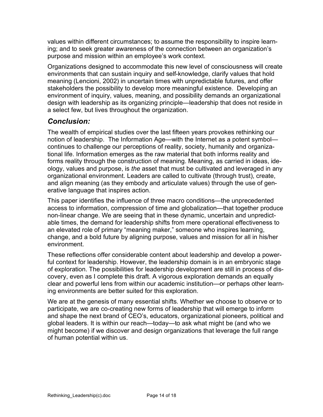values within different circumstances; to assume the responsibility to inspire learning; and to seek greater awareness of the connection between an organization's purpose and mission within an employee's work context.

Organizations designed to accommodate this new level of consciousness will create environments that can sustain inquiry and self-knowledge, clarify values that hold meaning (Lencioni, 2002) in uncertain times with unpredictable futures, and offer stakeholders the possibility to develop more meaningful existence. Developing an environment of inquiry, values, meaning, and possibility demands an organizational design with leadership as its organizing principle—leadership that does not reside in a select few, but lives throughout the organization.

# *Conclusion:*

The wealth of empirical studies over the last fifteen years provokes rethinking our notion of leadership. The Information Age—with the Internet as a potent symbol continues to challenge our perceptions of reality, society, humanity and organizational life. Information emerges as the raw material that both informs reality and forms reality through the construction of meaning. Meaning, as carried in ideas, ideology, values and purpose, is *the* asset that must be cultivated and leveraged in any organizational environment. Leaders are called to cultivate (through trust), create, and align meaning (as they embody and articulate values) through the use of generative language that inspires action.

This paper identifies the influence of three macro conditions—the unprecedented access to information, compression of time and globalization—that together produce non-linear change. We are seeing that in these dynamic, uncertain and unpredictable times, the demand for leadership shifts from mere operational effectiveness to an elevated role of primary "meaning maker," someone who inspires learning, change, and a bold future by aligning purpose, values and mission for all in his/her environment.

These reflections offer considerable content about leadership and develop a powerful context for leadership. However, the leadership domain is in an embryonic stage of exploration. The possibilities for leadership development are still in process of discovery, even as I complete this draft. A vigorous exploration demands an equally clear and powerful lens from within our academic institution—or perhaps other learning environments are better suited for this exploration.

We are at the genesis of many essential shifts. Whether we choose to observe or to participate, we are co-creating new forms of leadership that will emerge to inform and shape the next brand of CEO's, educators, organizational pioneers, political and global leaders. It is within our reach—today—to ask what might be (and who we might become) if we discover and design organizations that leverage the full range of human potential within us.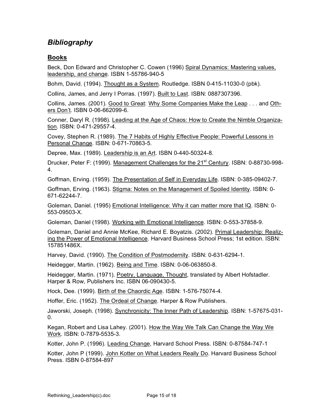# *Bibliography*

#### **Books**

Beck, Don Edward and Christopher C. Cowen (1996) Spiral Dynamics: Mastering values, leadership, and change. ISBN 1-55786-940-5

Bohm, David. (1994). Thought as a System. Routledge. ISBN 0-415-11030-0 (pbk).

Collins, James, and Jerry I Porras. (1997). Built to Last. ISBN: 0887307396.

Collins, James. (2001). Good to Great: Why Some Companies Make the Leap . . . and Others Don't. ISBN 0-06-662099-6.

Conner, Daryl R. (1998). Leading at the Age of Chaos: How to Create the Nimble Organization. ISBN: 0-471-29557-4.

Covey, Stephen R. (1989). The 7 Habits of Highly Effective People: Powerful Lessons in Personal Change. ISBN: 0-671-70863-5.

Depree, Max. (1989). Leadership is an Art. ISBN 0-440-50324-8.

Drucker, Peter F: (1999). Management Challenges for the 21<sup>st</sup> Century. ISBN: 0-88730-998-4.

Goffman, Erving. (1959). The Presentation of Self in Everyday Life. ISBN: 0-385-09402-7.

Goffman, Erving. (1963). Stigma: Notes on the Management of Spoiled Identity. ISBN: 0- 671-62244-7.

Goleman, Daniel. (1995) **Emotional Intelligence: Why it can matter more that IQ. ISBN: 0-**553-09503-X.

Goleman, Daniel (1998). Working with Emotional Intelligence. ISBN: 0-553-37858-9.

Goleman, Daniel and Annie McKee, Richard E. Boyatzis. (2002). Primal Leadership: Realizing the Power of Emotional Intelligence. Harvard Business School Press; 1st edition. ISBN: 157851486X.

Harvey, David. (1990). The Condition of Postmodernity. ISBN: 0-631-6294-1.

Heidegger, Martin. (1962). Being and Time. ISBN: 0-06-063850-8.

Heidegger, Martin. (1971). Poetry, Language, Thought, translated by Albert Hofstadler. Harper & Row, Publishers Inc. ISBN 06-090430-5.

Hock, Dee. (1999). Birth of the Chaordic Age. ISBN: 1-576-75074-4.

Hoffer, Eric. (1952). The Ordeal of Change. Harper & Row Publishers.

Jaworski, Joseph. (1998). Synchronicity: The Inner Path of Leadership. ISBN: 1-57675-031- 0.

Kegan, Robert and Lisa Lahey. (2001). How the Way We Talk Can Change the Way We Work. ISBN: 0-7879-5535-3.

Kotter, John P. (1996). Leading Change, Harvard School Press. ISBN: 0-87584-747-1

Kotter, John P (1999). John Kotter on What Leaders Really Do. Harvard Business School Press. ISBN 0-87584-897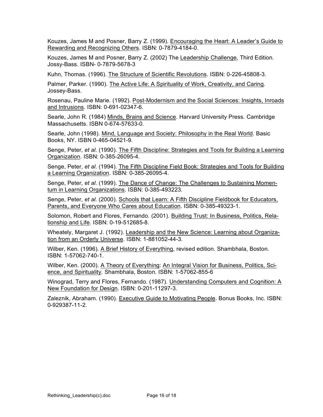Kouzes, James M and Posner, Barry Z. (1999). Encouraging the Heart: A Leader's Guide to Rewarding and Recognizing Others. ISBN: 0-7879-4184-0.

Kouzes, James M and Posner, Barry Z. (2002) The Leadership Challenge, Third Edition. Jossy-Bass. ISBN- 0-7879-5678-3

Kuhn, Thomas. (1996). The Structure of Scientific Revolutions. ISBN: 0-226-45808-3.

Palmer, Parker. (1990). The Active Life: A Spirituality of Work, Creativity, and Caring. Jossey-Bass.

Rosenau, Pauline Marie. (1992). Post-Modernism and the Social Sciences: Insights, Inroads and Intrusions. ISBN: 0-691-02347-6.

Searle, John R. (1984) Minds, Brains and Science. Harvard University Press. Cambridge Massachusetts. ISBN 0-674-57633-0.

Searle, John (1998). Mind, Language and Society: Philosophy in the Real World. Basic Books, NY. ISBN 0-465-04521-9.

Senge, Peter, *et al*. (1990). The Fifth Discipline: Strategies and Tools for Building a Learning Organization. ISBN: 0-385-26095-4.

Senge, Peter, *et al*. (1994). The Fifth Discipline Field Book: Strategies and Tools for Building a Learning Organization. ISBN: 0-385-26095-4.

Senge, Peter, *et al*. (1999). The Dance of Change: The Challenges to Sustaining Momentum in Learning Organizations. ISBN: 0-385-493223.

Senge, Peter, *et al*. (2000). Schools that Learn: A Fifth Discipline Fieldbook for Educators, Parents, and Everyone Who Cares about Education. ISBN: 0-385-49323-1.

Solomon, Robert and Flores, Fernando. (2001). Building Trust: In Business, Politics, Relationship and Life. ISBN: 0-19-512685-8.

Wheately, Margaret J. (1992). Leadership and the New Science: Learning about Organization from an Orderly Universe. ISBN: 1-881052-44-3.

Wilber, Ken. (1996). A Brief History of Everything, revised edition. Shambhala, Boston. ISBN: 1-57062-740-1.

Wilber, Ken. (2000). A Theory of Everything: An Integral Vision for Business, Politics, Science, and Spirituality. Shambhala, Boston. ISBN: 1-57062-855-6

Winograd, Terry and Flores, Fernando. (1987). Understanding Computers and Cognition: A New Foundation for Design. ISBN: 0-201-11297-3.

Zaleznik, Abraham. (1990). Executive Guide to Motivating People. Bonus Books, Inc. ISBN: 0-929387-11-2.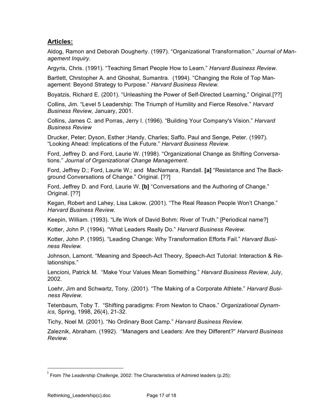#### **Articles:**

Aldog, Ramon and Deborah Dougherty. (1997). "Organizational Transformation." *Journal of Management Inquiry.*

Argyris, Chris. (1991). "Teaching Smart People How to Learn." *Harvard Business Review.*

Bartlett, Chrstopher A. and Ghoshal, Sumantra. (1994). "Changing the Role of Top Management: Beyond Strategy to Purpose." *Harvard Business Review.*

Boyatzis, Richard E. (2001). "Unleashing the Power of Self-Directed Learning," Original.[??]

Collins, Jim. "Level 5 Leadership: The Triumph of Humility and Fierce Resolve." *Harvard Business Review,* January, 2001.

Collins, James C. and Porras, Jerry I. (1996). "Building Your Company's Vision." *Harvard Business Review*

Drucker, Peter; Dyson, Esther ;Handy, Charles; Saffo, Paul and Senge, Peter. (1997). "Looking Ahead: Implications of the Future." *Harvard Business Review*.

Ford, Jeffrey D. and Ford, Laurie W. (1998). "Organizational Change as Shifting Conversations." *Journal of Organizational Change Management*.

Ford, Jeffrey D.; Ford, Laurie W.; and MacNamara, Randall. **[a]** "Resistance and The Background Conversations of Change." Original. [??]

Ford, Jeffrey D. and Ford, Laurie W. **[b]** "Conversations and the Authoring of Change." Original. [??]

Kegan, Robert and Lahey, Lisa Lakow. (2001). "The Real Reason People Won't Change." *Harvard Business Review.*

Keepin, William. (1993). "Life Work of David Bohm: River of Truth." [Periodical name?]

Kotter, John P. (1994). "What Leaders Really Do." *Harvard Business Review.*

Kotter, John P. (1995). "Leading Change: Why Transformation Efforts Fail." *Harvard Business Review.*

Johnson, Lamont. "Meaning and Speech-Act Theory, Speech-Act Tutorial: Interaction & Relationships."

Lencioni, Patrick M. "Make Your Values Mean Something." *Harvard Business Review*, July, 2002.

Loehr, Jim and Schwartz, Tony. (2001). "The Making of a Corporate Athlete." *Harvard Business Review*.

Tetenbaum, Toby T. "Shifting paradigms: From Newton to Chaos." *Organizational Dynamics*, Spring, 1998, 26(4), 21-32.

Tichy, Noel M. (2001). "No Ordinary Boot Camp." *Harvard Business Review*.

Zaleznik, Abraham. (1992). "Managers and Leaders: Are they Different?" *Harvard Business Review.*

<sup>.&</sup>lt;br>i From *The Leadership Challenge*, 2002: The Characteristics of Admired leaders (p.25):